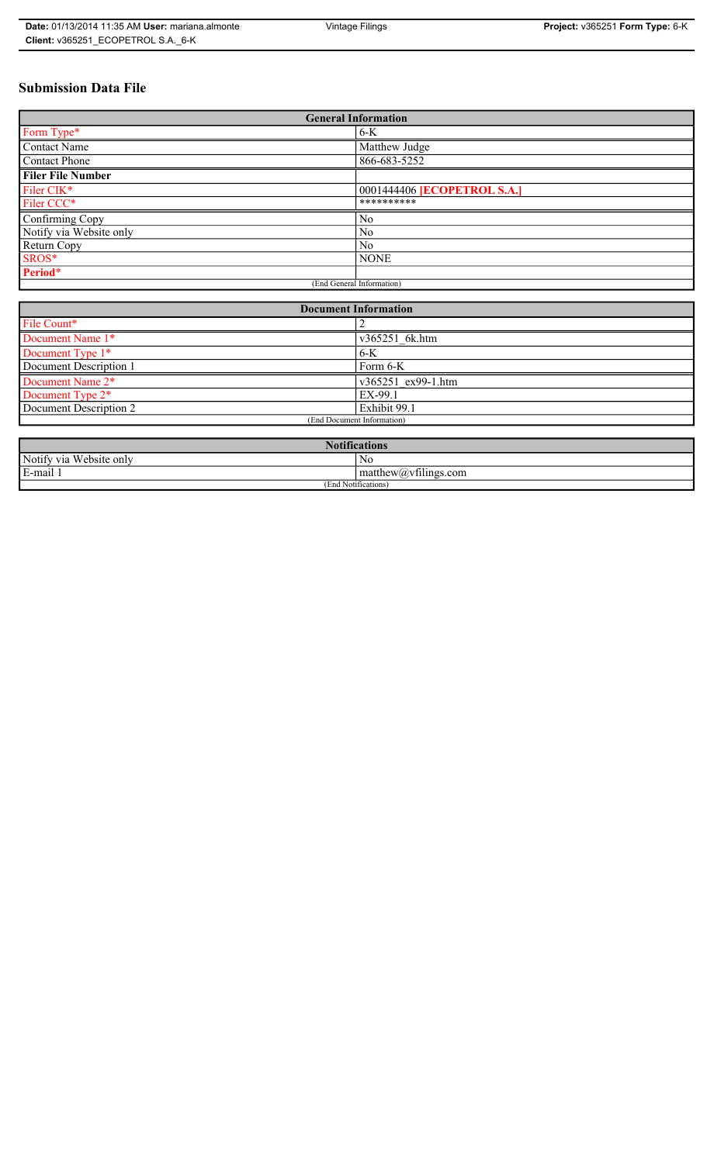# **Submission Data File**

| <b>General Information</b> |                                    |
|----------------------------|------------------------------------|
| Form Type*                 | $6-K$                              |
| <b>Contact Name</b>        | Matthew Judge                      |
| <b>Contact Phone</b>       | 866-683-5252                       |
| <b>Filer File Number</b>   |                                    |
| Filer CIK*                 | 0001444406 <b>[ECOPETROL S.A.]</b> |
| Filer CCC*                 | **********                         |
| Confirming Copy            | No                                 |
| Notify via Website only    | N <sub>0</sub>                     |
| Return Copy                | N <sub>0</sub>                     |
| SROS*                      | <b>NONE</b>                        |
| Period*                    |                                    |
| (End General Information)  |                                    |

| <b>Document Information</b>  |                    |
|------------------------------|--------------------|
| File Count*                  |                    |
| Document Name 1*             | v365251 6k.htm     |
| Document Type 1*             | $6-K$              |
| Document Description 1       | Form 6-K           |
| Document Name 2 <sup>*</sup> | v365251 ex99-1.htm |
| Document Type 2 <sup>*</sup> | EX-99.1            |
| Document Description 2       | Exhibit 99.1       |
| (End Document Information)   |                    |
|                              |                    |

| <b>Notifications</b>         |                                                             |
|------------------------------|-------------------------------------------------------------|
| Notify via<br>u Website only | NC                                                          |
| E-mail                       | $\sim$ $\sim$<br>$\mathsf{matrix}(a)\mathsf{v}$ filings.com |
| (End Notifications)          |                                                             |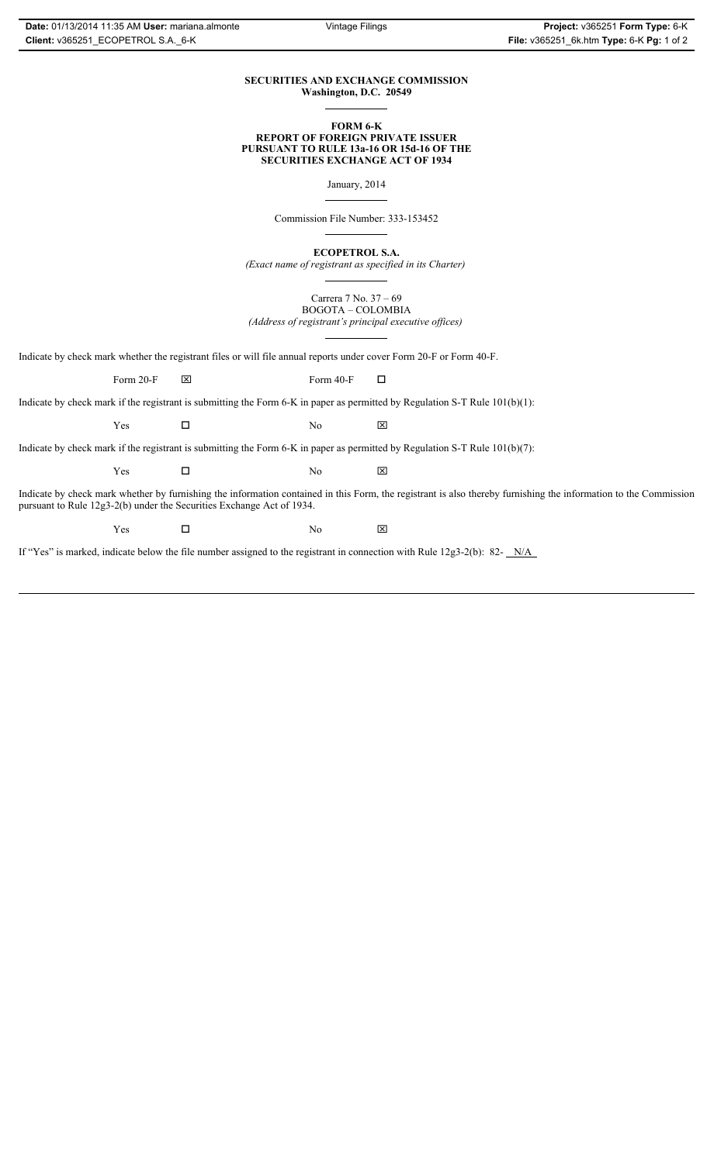## **SECURITIES AND EXCHANGE COMMISSION Washington, D.C. 20549**

#### **FORM 6-K REPORT OF FOREIGN PRIVATE ISSUER PURSUANT TO RULE 13a-16 OR 15d-16 OF THE SECURITIES EXCHANGE ACT OF 1934**

January, 2014

Commission File Number: 333-153452

**ECOPETROL S.A.**

*(Exact name of registrant as specified in its Charter)*

Carrera 7 No. 37 – 69 BOGOTA – COLOMBIA *(Address of registrant's principal executive offices)*

Indicate by check mark whether the registrant files or will file annual reports under cover Form 20-F or Form 40-F.

Form 20-F  $\boxtimes$  Form 40-F  $\Box$ 

Indicate by check mark if the registrant is submitting the Form 6-K in paper as permitted by Regulation S-T Rule 101(b)(1):

 $Yes$   $\Box$  No  $X$ 

Indicate by check mark if the registrant is submitting the Form 6-K in paper as permitted by Regulation S-T Rule 101(b)(7):

 $Yes$   $\Box$  No  $X$ 

Indicate by check mark whether by furnishing the information contained in this Form, the registrant is also thereby furnishing the information to the Commission pursuant to Rule 12g3-2(b) under the Securities Exchange Act of 1934.

 $Yes$   $\Box$  No  $X$ 

If "Yes" is marked, indicate below the file number assigned to the registrant in connection with Rule 12g3-2(b): 82- N/A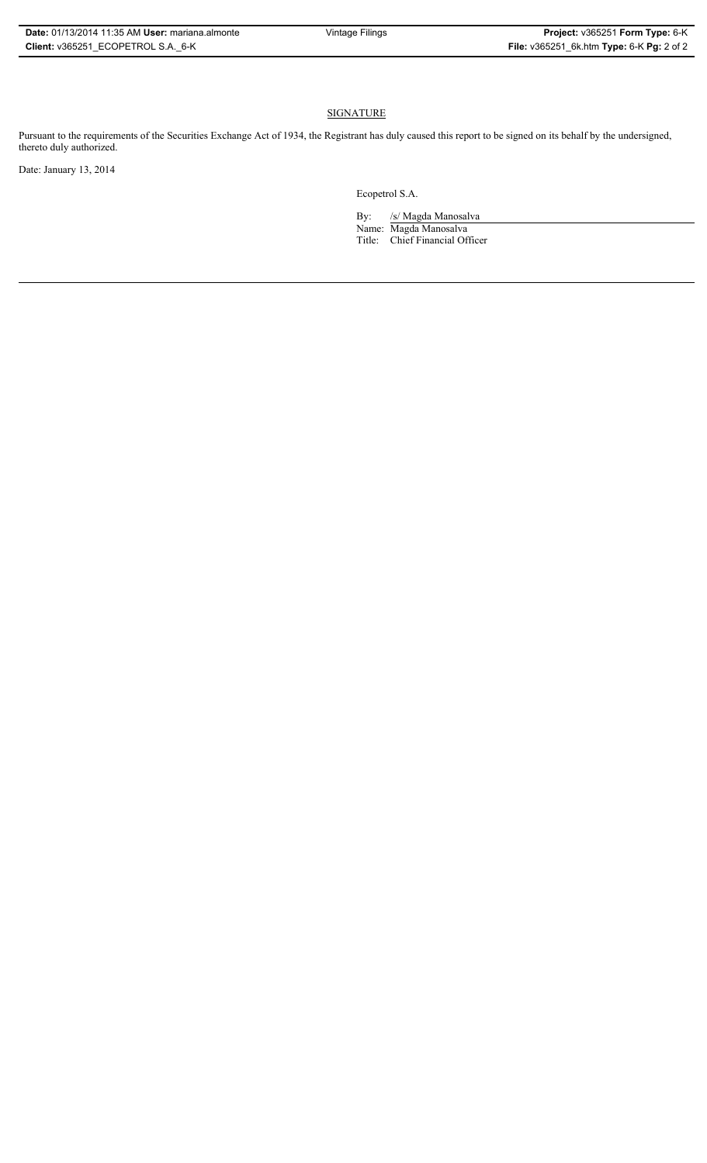# **SIGNATURE**

Pursuant to the requirements of the Securities Exchange Act of 1934, the Registrant has duly caused this report to be signed on its behalf by the undersigned, thereto duly authorized.

Date: January 13, 2014

Ecopetrol S.A.

By: /s/ Magda Manosalva Name: Magda Manosalva Title: Chief Financial Officer